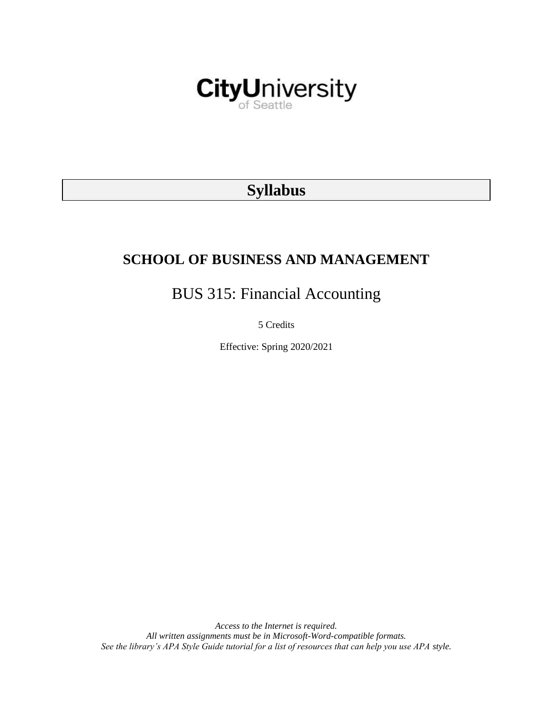

# **Syllabus**

# **SCHOOL OF BUSINESS AND MANAGEMENT**

# BUS 315: Financial Accounting

5 Credits

Effective: Spring 2020/2021

*Access to the Internet is required. All written assignments must be in Microsoft-Word-compatible formats. See the library's APA Style Guide tutorial for a list of resources that can help you use APA style.*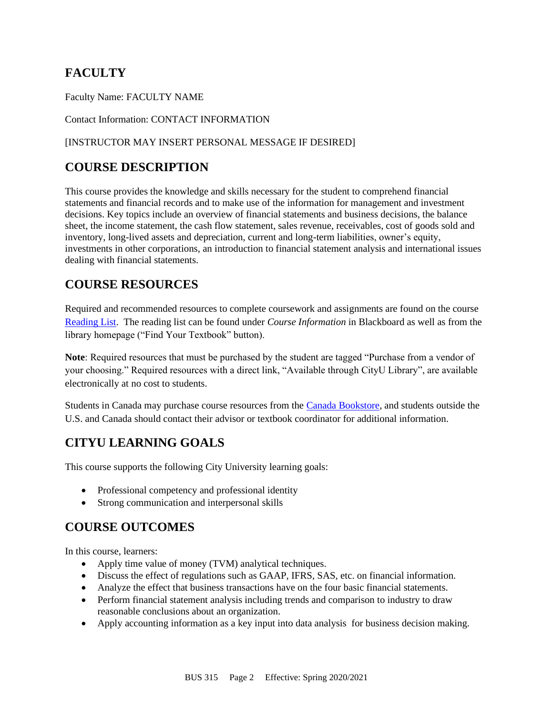# **FACULTY**

Faculty Name: FACULTY NAME

Contact Information: CONTACT INFORMATION

#### [INSTRUCTOR MAY INSERT PERSONAL MESSAGE IF DESIRED]

# **COURSE DESCRIPTION**

This course provides the knowledge and skills necessary for the student to comprehend financial statements and financial records and to make use of the information for management and investment decisions. Key topics include an overview of financial statements and business decisions, the balance sheet, the income statement, the cash flow statement, sales revenue, receivables, cost of goods sold and inventory, long-lived assets and depreciation, current and long-term liabilities, owner's equity, investments in other corporations, an introduction to financial statement analysis and international issues dealing with financial statements.

### **COURSE RESOURCES**

Required and recommended resources to complete coursework and assignments are found on the course [Reading List.](https://cityu.alma.exlibrisgroup.com/leganto/login?auth=SAML) The reading list can be found under *Course Information* in Blackboard as well as from the library homepage ("Find Your Textbook" button).

**Note**: Required resources that must be purchased by the student are tagged "Purchase from a vendor of your choosing." Required resources with a direct link, "Available through CityU Library", are available electronically at no cost to students.

Students in Canada may purchase course resources from the [Canada Bookstore,](https://www.cityubookstore.ca/index.asp) and students outside the U.S. and Canada should contact their advisor or textbook coordinator for additional information.

# **CITYU LEARNING GOALS**

This course supports the following City University learning goals:

- Professional competency and professional identity
- Strong communication and interpersonal skills

# **COURSE OUTCOMES**

In this course, learners:

- Apply time value of money (TVM) analytical techniques.
- Discuss the effect of regulations such as GAAP, IFRS, SAS, etc. on financial information.
- Analyze the effect that business transactions have on the four basic financial statements.
- Perform financial statement analysis including trends and comparison to industry to draw reasonable conclusions about an organization.
- Apply accounting information as a key input into data analysis for business decision making.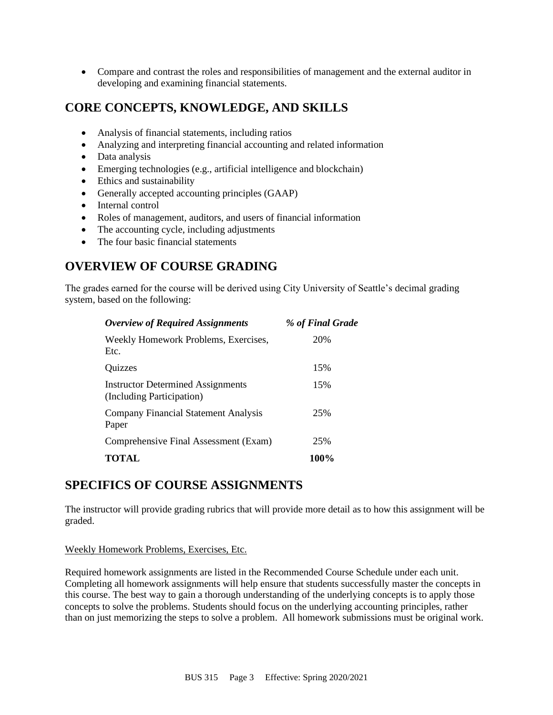• Compare and contrast the roles and responsibilities of management and the external auditor in developing and examining financial statements.

# **CORE CONCEPTS, KNOWLEDGE, AND SKILLS**

- Analysis of financial statements, including ratios
- Analyzing and interpreting financial accounting and related information
- Data analysis
- Emerging technologies (e.g., artificial intelligence and blockchain)
- Ethics and sustainability
- Generally accepted accounting principles (GAAP)
- Internal control
- Roles of management, auditors, and users of financial information
- The accounting cycle, including adjustments
- The four basic financial statements

# **OVERVIEW OF COURSE GRADING**

The grades earned for the course will be derived using City University of Seattle's decimal grading system, based on the following:

| <b>Overview of Required Assignments</b>                               | % of Final Grade |
|-----------------------------------------------------------------------|------------------|
| Weekly Homework Problems, Exercises,<br>Etc.                          | 20%              |
| Quizzes                                                               | 15%              |
| <b>Instructor Determined Assignments</b><br>(Including Participation) | 15%              |
| <b>Company Financial Statement Analysis</b><br>Paper                  | 25%              |
| Comprehensive Final Assessment (Exam)                                 | 25%              |
| <b>TOTAL</b>                                                          | 100%             |

### **SPECIFICS OF COURSE ASSIGNMENTS**

The instructor will provide grading rubrics that will provide more detail as to how this assignment will be graded.

#### Weekly Homework Problems, Exercises, Etc.

Required homework assignments are listed in the Recommended Course Schedule under each unit. Completing all homework assignments will help ensure that students successfully master the concepts in this course. The best way to gain a thorough understanding of the underlying concepts is to apply those concepts to solve the problems. Students should focus on the underlying accounting principles, rather than on just memorizing the steps to solve a problem. All homework submissions must be original work.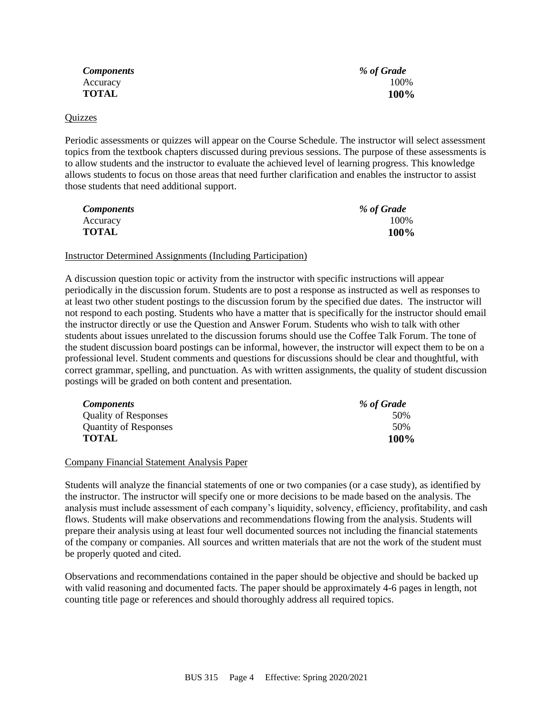*Components % of Grade*

Accuracy 100% **TOTAL 100%**

#### Quizzes

Periodic assessments or quizzes will appear on the Course Schedule. The instructor will select assessment topics from the textbook chapters discussed during previous sessions. The purpose of these assessments is to allow students and the instructor to evaluate the achieved level of learning progress. This knowledge allows students to focus on those areas that need further clarification and enables the instructor to assist those students that need additional support.

| <b>Components</b> | % of Grade |
|-------------------|------------|
| Accuracy          | 100\%      |
| <b>TOTAL</b>      | 100%       |

#### Instructor Determined Assignments (Including Participation)

A discussion question topic or activity from the instructor with specific instructions will appear periodically in the discussion forum. Students are to post a response as instructed as well as responses to at least two other student postings to the discussion forum by the specified due dates. The instructor will not respond to each posting. Students who have a matter that is specifically for the instructor should email the instructor directly or use the Question and Answer Forum. Students who wish to talk with other students about issues unrelated to the discussion forums should use the Coffee Talk Forum. The tone of the student discussion board postings can be informal, however, the instructor will expect them to be on a professional level. Student comments and questions for discussions should be clear and thoughtful, with correct grammar, spelling, and punctuation. As with written assignments, the quality of student discussion postings will be graded on both content and presentation.

| <b>Components</b>            | % of Grade  |
|------------------------------|-------------|
| <b>Quality of Responses</b>  | 50%         |
| <b>Quantity of Responses</b> | 50%         |
| <b>TOTAL</b>                 | <b>100%</b> |

#### Company Financial Statement Analysis Paper

Students will analyze the financial statements of one or two companies (or a case study), as identified by the instructor. The instructor will specify one or more decisions to be made based on the analysis. The analysis must include assessment of each company's liquidity, solvency, efficiency, profitability, and cash flows. Students will make observations and recommendations flowing from the analysis. Students will prepare their analysis using at least four well documented sources not including the financial statements of the company or companies. All sources and written materials that are not the work of the student must be properly quoted and cited.

Observations and recommendations contained in the paper should be objective and should be backed up with valid reasoning and documented facts. The paper should be approximately 4-6 pages in length, not counting title page or references and should thoroughly address all required topics.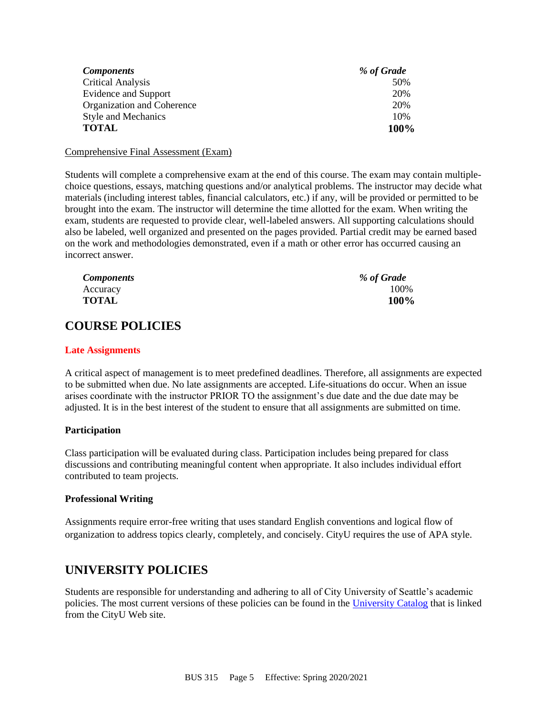| <b>Components</b>          | % of Grade |
|----------------------------|------------|
| <b>Critical Analysis</b>   | 50%        |
| Evidence and Support       | 20%        |
| Organization and Coherence | 20%        |
| <b>Style and Mechanics</b> | 10%        |
| <b>TOTAL</b>               | 100%       |

#### Comprehensive Final Assessment (Exam)

Students will complete a comprehensive exam at the end of this course. The exam may contain multiplechoice questions, essays, matching questions and/or analytical problems. The instructor may decide what materials (including interest tables, financial calculators, etc.) if any, will be provided or permitted to be brought into the exam. The instructor will determine the time allotted for the exam. When writing the exam, students are requested to provide clear, well-labeled answers. All supporting calculations should also be labeled, well organized and presented on the pages provided. Partial credit may be earned based on the work and methodologies demonstrated, even if a math or other error has occurred causing an incorrect answer.

| <b>Components</b> | % of Grade |
|-------------------|------------|
| Accuracy          | 100%       |
| <b>TOTAL</b>      | 100%       |

# **COURSE POLICIES**

#### **Late Assignments**

A critical aspect of management is to meet predefined deadlines. Therefore, all assignments are expected to be submitted when due. No late assignments are accepted. Life-situations do occur. When an issue arises coordinate with the instructor PRIOR TO the assignment's due date and the due date may be adjusted. It is in the best interest of the student to ensure that all assignments are submitted on time.

#### **Participation**

Class participation will be evaluated during class. Participation includes being prepared for class discussions and contributing meaningful content when appropriate. It also includes individual effort contributed to team projects.

#### **Professional Writing**

Assignments require error-free writing that uses standard English conventions and logical flow of organization to address topics clearly, completely, and concisely. CityU requires the use of APA style.

# **UNIVERSITY POLICIES**

Students are responsible for understanding and adhering to all of City University of Seattle's academic policies. The most current versions of these policies can be found in the [University Catalog](http://www.cityu.edu/catalog/) that is linked from the CityU Web site.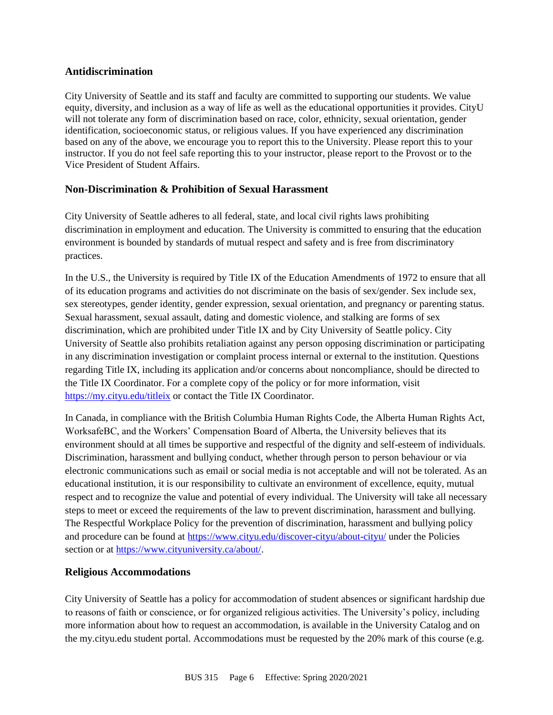### **Antidiscrimination**

City University of Seattle and its staff and faculty are committed to supporting our students. We value equity, diversity, and inclusion as a way of life as well as the educational opportunities it provides. CityU will not tolerate any form of discrimination based on race, color, ethnicity, sexual orientation, gender identification, socioeconomic status, or religious values. If you have experienced any discrimination based on any of the above, we encourage you to report this to the University. Please report this to your instructor. If you do not feel safe reporting this to your instructor, please report to the Provost or to the Vice President of Student Affairs.

### **Non-Discrimination & Prohibition of Sexual Harassment**

City University of Seattle adheres to all federal, state, and local civil rights laws prohibiting discrimination in employment and education. The University is committed to ensuring that the education environment is bounded by standards of mutual respect and safety and is free from discriminatory practices.

In the U.S., the University is required by Title IX of the Education Amendments of 1972 to ensure that all of its education programs and activities do not discriminate on the basis of sex/gender. Sex include sex, sex stereotypes, gender identity, gender expression, sexual orientation, and pregnancy or parenting status. Sexual harassment, sexual assault, dating and domestic violence, and stalking are forms of sex discrimination, which are prohibited under Title IX and by City University of Seattle policy. City University of Seattle also prohibits retaliation against any person opposing discrimination or participating in any discrimination investigation or complaint process internal or external to the institution. Questions regarding Title IX, including its application and/or concerns about noncompliance, should be directed to the Title IX Coordinator. For a complete copy of the policy or for more information, visit <https://my.cityu.edu/titleix> or contact the Title IX Coordinator.

In Canada, in compliance with the British Columbia Human Rights Code, the Alberta Human Rights Act, WorksafeBC, and the Workers' Compensation Board of Alberta, the University believes that its environment should at all times be supportive and respectful of the dignity and self-esteem of individuals. Discrimination, harassment and bullying conduct, whether through person to person behaviour or via electronic communications such as email or social media is not acceptable and will not be tolerated. As an educational institution, it is our responsibility to cultivate an environment of excellence, equity, mutual respect and to recognize the value and potential of every individual. The University will take all necessary steps to meet or exceed the requirements of the law to prevent discrimination, harassment and bullying. The Respectful Workplace Policy for the prevention of discrimination, harassment and bullying policy and procedure can be found at<https://www.cityu.edu/discover-cityu/about-cityu/> under the Policies section or at [https://www.cityuniversity.ca/about/.](https://www.cityuniversity.ca/about/)

#### **Religious Accommodations**

City University of Seattle has a policy for accommodation of student absences or significant hardship due to reasons of faith or conscience, or for organized religious activities. The University's policy, including more information about how to request an accommodation, is available in the University Catalog and on the my.cityu.edu student portal. Accommodations must be requested by the 20% mark of this course (e.g.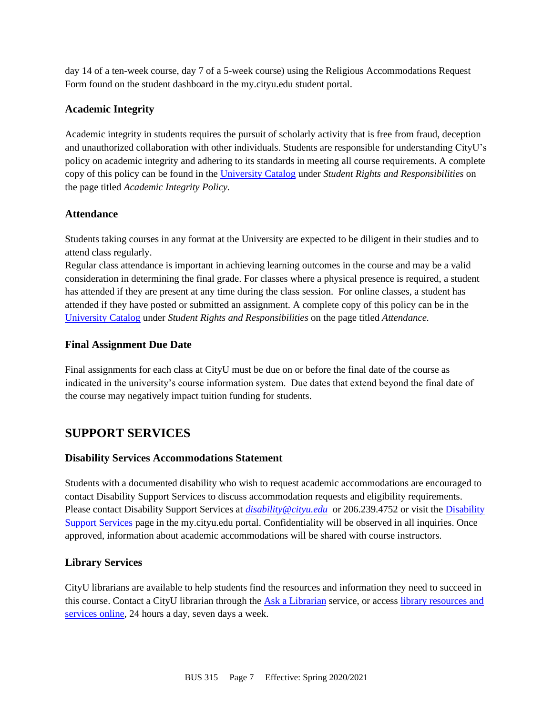day 14 of a ten-week course, day 7 of a 5-week course) using the Religious Accommodations Request Form found on the student dashboard in the my.cityu.edu student portal.

### **Academic Integrity**

Academic integrity in students requires the pursuit of scholarly activity that is free from fraud, deception and unauthorized collaboration with other individuals. Students are responsible for understanding CityU's policy on academic integrity and adhering to its standards in meeting all course requirements. A complete copy of this policy can be found in the [University Catalog](http://www.cityu.edu/catalog/) under *Student Rights and Responsibilities* on the page titled *Academic Integrity Policy.* 

### **Attendance**

Students taking courses in any format at the University are expected to be diligent in their studies and to attend class regularly.

Regular class attendance is important in achieving learning outcomes in the course and may be a valid consideration in determining the final grade. For classes where a physical presence is required, a student has attended if they are present at any time during the class session. For online classes, a student has attended if they have posted or submitted an assignment. A complete copy of this policy can be in the [University Catalog](http://www.cityu.edu/catalog/) under *Student Rights and Responsibilities* on the page titled *Attendance.*

### **Final Assignment Due Date**

Final assignments for each class at CityU must be due on or before the final date of the course as indicated in the university's course information system. Due dates that extend beyond the final date of the course may negatively impact tuition funding for students.

# **SUPPORT SERVICES**

### **Disability Services Accommodations Statement**

Students with a documented disability who wish to request academic accommodations are encouraged to contact Disability Support Services to discuss accommodation requests and eligibility requirements. Please contact Disability Support Services at *[disability@cityu.edu](mailto:disability@cityu.edu)* or 206.239.4752 or visit the [Disability](https://my.cityu.edu/department/disability-support-services/)  [Support Services](https://my.cityu.edu/department/disability-support-services/) page in the my.cityu.edu portal. Confidentiality will be observed in all inquiries. Once approved, information about academic accommodations will be shared with course instructors.

### **Library Services**

CityU librarians are available to help students find the resources and information they need to succeed in this course. Contact a CityU librarian through the [Ask a Librarian](http://library.cityu.edu/ask-a-librarian/) service, or access library resources and [services online,](http://library.cityu.edu/) 24 hours a day, seven days a week.